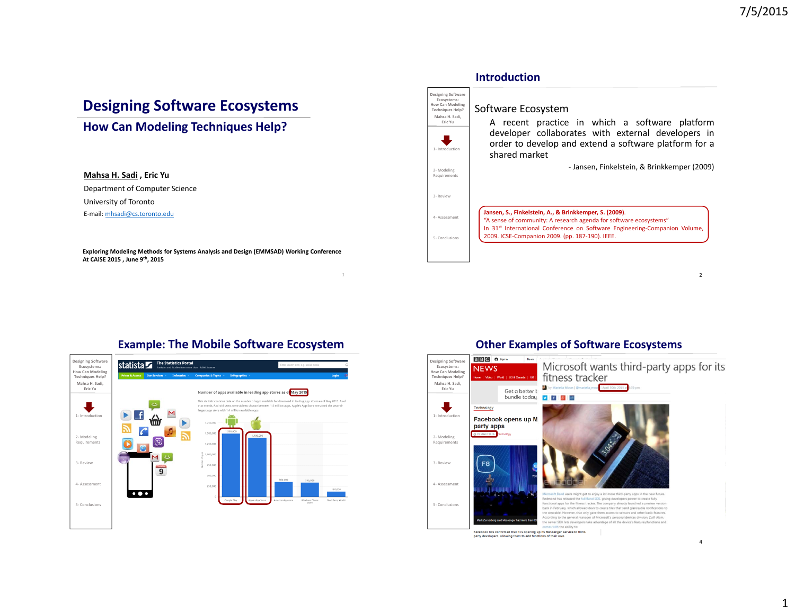# **Designing Software Ecosystems**

# **How Can Modeling Techniques Help?**

#### **Mahsa H. Sadi , Eric Yu**

Department of Computer Science University of Toronto

E‐mail: mhsadi@cs.toronto.edu

**Exploring Modeling Methods for Systems Analysis and Design (EMMSAD) Working Conference At CAiSE 2015 , June 9th, 2015**



# **Example: The Mobile Software Ecosystem**



## **Other Examples of Software Ecosystems**

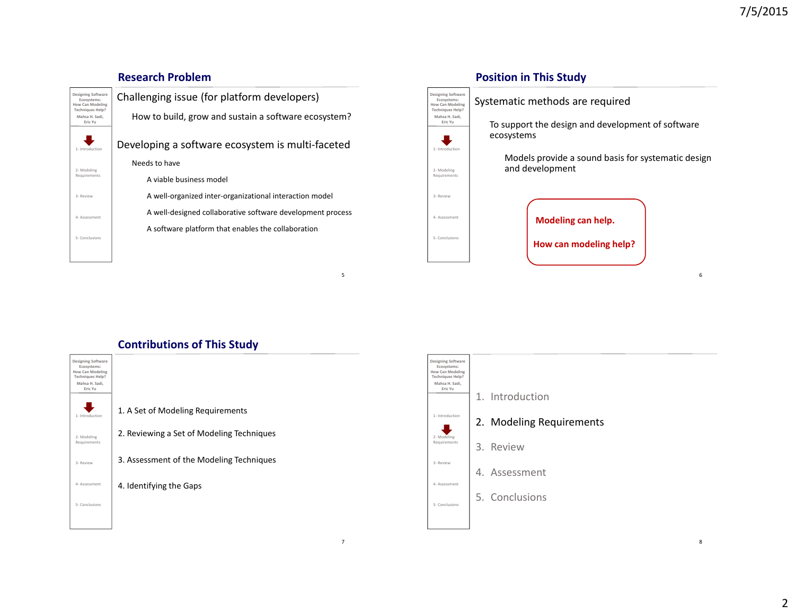#### **Research ProblemDesigning Software** Challenging issue (for platform developers) **Designing Software Ecosystems: How Can Modeling Ecosystems: How Can Modeling Techniques Help? Techniques Help?** How to build, grow and sustain <sup>a</sup> software ecosystem? **Mahsa H. Sadi, Mahsa H. Sadi, Eric YuEric Yu** $\bigcup$  $\ddot{\phantom{a}}$ Developing <sup>a</sup> software ecosystem is multi‐faceted 1‐ Introduction1‐ IntroductionNeeds to have 2‐ Modeling 2‐ Modeling Requirements Requirements A viable business model A well‐organized inter‐organizational interaction model 3‐ Review3‐ ReviewA well‐designed collaborative software development process 4‐ Assessment4‐ AssessmentA software platform that enables the collaboration 5‐ Conclusions5‐ Conclusions5

7

# **Position in This Study**

Systematic methods are required

To support the design and development of software ecosystems

Models provide <sup>a</sup> sound basis for systematic design and development

6

**Modeling can help.**

**How can modeling help?**

# **Contributions of This Study**



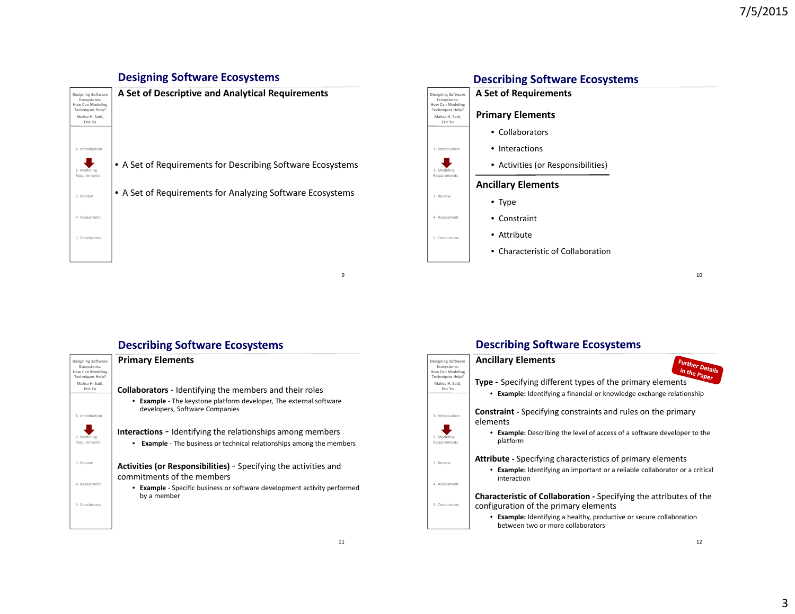# **Designing Software Ecosystems**





10

# **Describing Software Ecosystems**



# **Describing Software Ecosystems**



 $\overline{9}$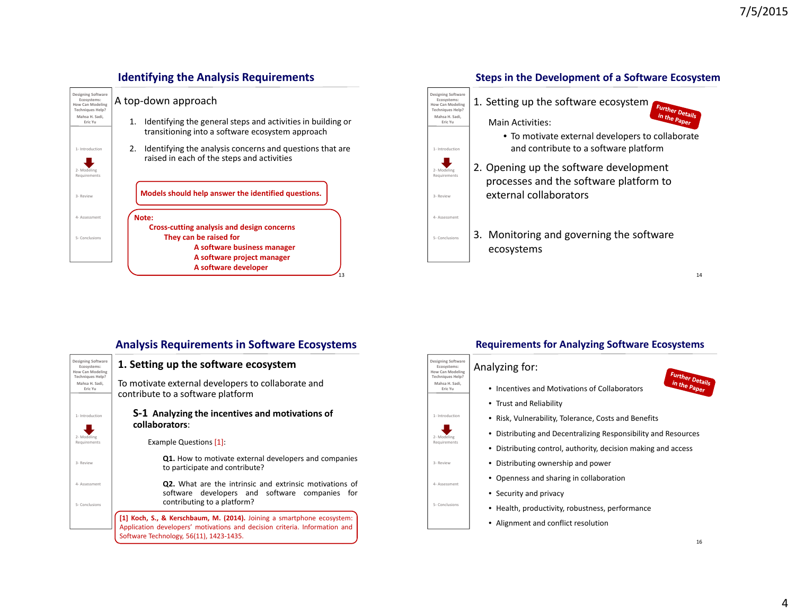

## **Identifying the Analysis Requirements**



#### 14

Further Deta <sup>in</sup> the

#### **Designing Software Ecosystems: How Can Modeling Techniques Help? Mahsa H. Sadi, Eric Yu**1‐ Introduction2‐ Modeling Requirement 3‐ Review4‐ Assessment5‐ Conclusions**Analysis Requirements in Software Ecosystems 1. Setting up the software ecosystem** To motivate external developers to collaborate and contribute to <sup>a</sup> software platform **S‐1 Analyzing the incentives and motivations of collaborators**:Example Questions [1]: **Q1.** How to motivate external developers and companies to participate and contribute? **Q2.** What are the intrinsic and extrinsic motivations of software developers and software companies for contributing to <sup>a</sup> platform?

13

15**[1] Koch, S., & Kerschbaum, M. (2014).** Joining <sup>a</sup> smartphone ecosystem: Application developers' motivations and decision criteria. Information and Software Technology, 56(11), 1423‐1435.

## **Requirements for Analyzing Software Ecosystems**

#### Analyzing for:

**Designing Software Ecosystems: How Can Modeling Techniques Help? Mahsa H. Sadi, Eric Yu**

1‐ Introduction

2‐ Modeling Requirements

3‐ Review

4‐ Assessment

5‐ Conclusions

- Incentives and Motivations of Collaborators
- Trust and Reliability
- Risk, Vulnerability, Tolerance, Costs and Benefits
- Distributing and Decentralizing Responsibility and Resources
- Distributing control, authority, decision making and access
- Distributing ownership and power
- Openness and sharing in collaboration
- Security and privacy
- Health, productivity, robustness, performance
- Alignment and conflict resolution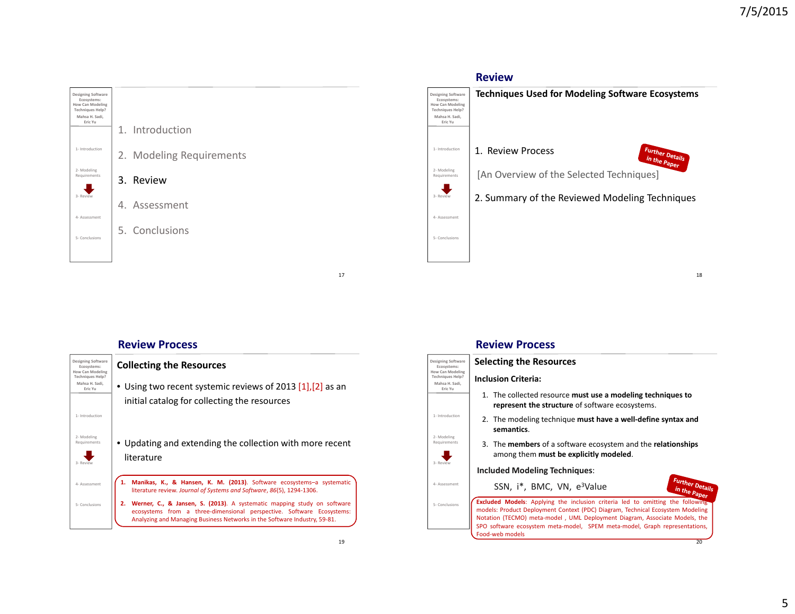

## **ReviewTechniques Used for Modeling Software Ecosystems Designing Software Ecosystems: How Can Modeling Techniques Help? Mahsa H. Sadi, Eric Yu** Further Deta 1‐ Introduction1. Review Process in the Paper [An Overview of the Selected Techniques] 2‐ Modeling Requirements 2. Summary of the Reviewed Modeling Techniques 3‐ Review 4‐ Assessment 5‐ Conclusions18

#### **Review Process**



#### **Review Process**

| Designing Software<br>Ecosystems:                                        | <b>Selecting the Resources</b>                                                                                                                                                                                                                                                                                                                         |
|--------------------------------------------------------------------------|--------------------------------------------------------------------------------------------------------------------------------------------------------------------------------------------------------------------------------------------------------------------------------------------------------------------------------------------------------|
| How Can Modeling<br><b>Techniques Help?</b><br>Mahsa H. Sadi.<br>Fric Yu | <b>Inclusion Criteria:</b>                                                                                                                                                                                                                                                                                                                             |
|                                                                          | 1. The collected resource must use a modeling techniques to<br>represent the structure of software ecosystems.                                                                                                                                                                                                                                         |
| 1- Introduction                                                          | 2. The modeling technique must have a well-define syntax and<br>semantics.                                                                                                                                                                                                                                                                             |
| 2- Modeling<br>Requirements                                              | 3. The members of a software ecosystem and the relationships<br>among them <b>must be explicitly modeled</b> .                                                                                                                                                                                                                                         |
| 3- Review                                                                | <b>Included Modeling Techniques:</b>                                                                                                                                                                                                                                                                                                                   |
| 4- Assessment                                                            | <b>Further Details</b><br>SSN, i <sup>*</sup> , BMC, VN, e <sup>3</sup> Value                                                                                                                                                                                                                                                                          |
| 5- Conclusions                                                           | <b>Excluded Models:</b> Applying the inclusion criteria led to omitting the following<br>models: Product Deployment Context (PDC) Diagram, Technical Ecosystem Modeling<br>Notation (TECMO) meta-model, UML Deployment Diagram, Associate Models, the<br>SPO software ecosystem meta-model, SPEM meta-model, Graph representations,<br>Food-web models |
|                                                                          | 20                                                                                                                                                                                                                                                                                                                                                     |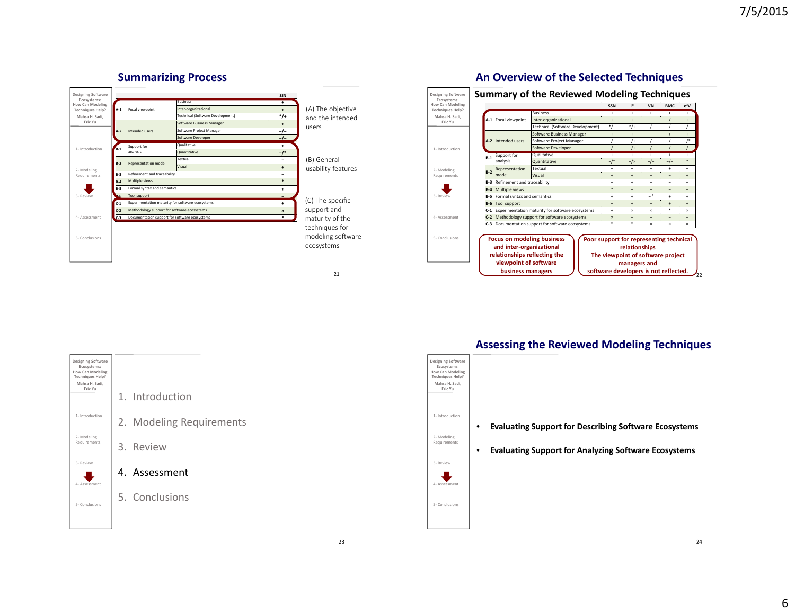



## **An Overview of the Selected Techniques**





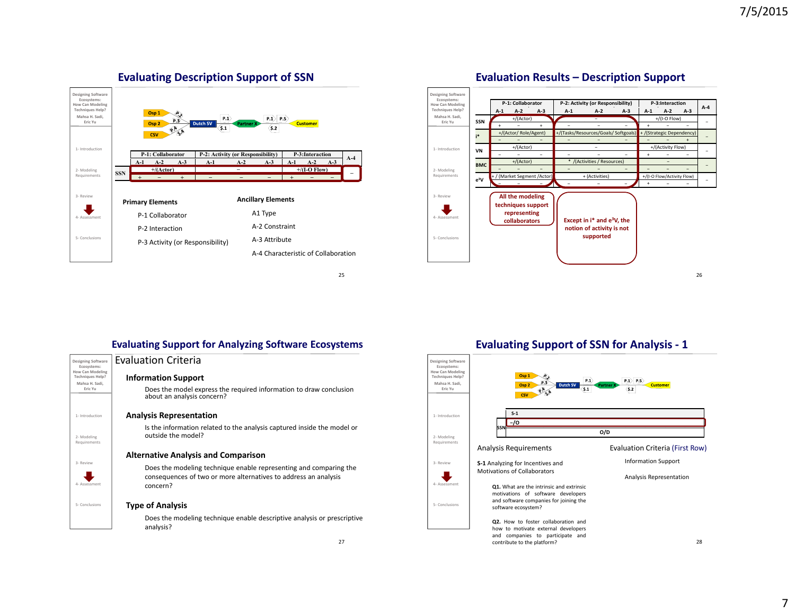

**Evaluating Description Support of SSN**





## **Evaluation Results – Description Support**

**Evaluating Support for Analyzing Software Ecosystems**

| <b>Designing Software</b><br>Ecosystems:<br><b>How Can Modeling</b><br><b>Techniques Help?</b><br>Mahsa H. Sadi,<br>Fric Yu |  |
|-----------------------------------------------------------------------------------------------------------------------------|--|
| 1- Introduction                                                                                                             |  |
| 2-Modeling<br>Requirements                                                                                                  |  |
| 3- Review                                                                                                                   |  |
| 4- Assessment<br>5- Conclusions                                                                                             |  |
|                                                                                                                             |  |

# Evaluation Criteria **Designing Software**

**Information Support** Does the model express the required information to draw conclusion about an analysis concern?

#### **Analysis Representation**

Is the information related to the analysis captured inside the model or outside the model?

#### **Alternative Analysis and Comparison**

Does the modeling technique enable representing and comparing the consequences of two or more alternatives to address an analysis concern?

#### **Type of Analysis**

Does the modeling technique enable descriptive analysis or prescriptive analysis?

**Evaluating Support of SSN for Analysis ‐ 1**

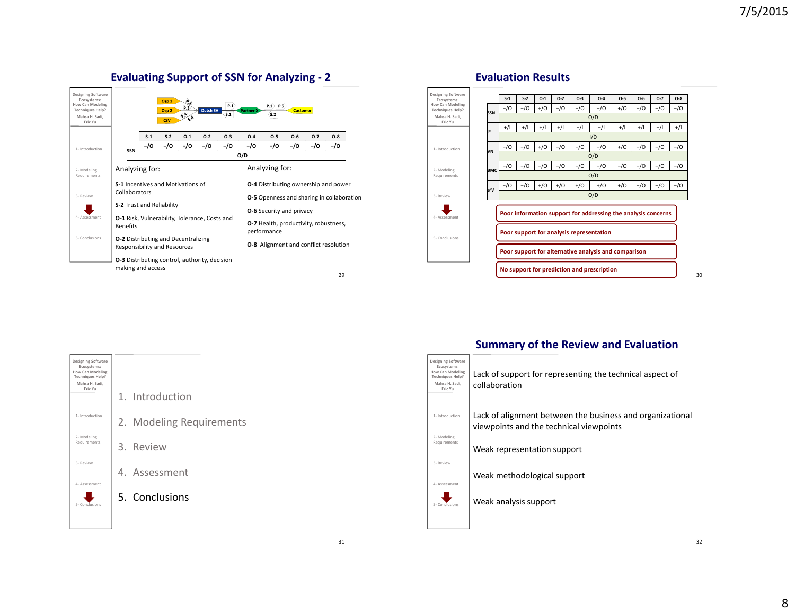

## **Evaluating Support of SSN for Analyzing ‐ 2**

#### **Designing Software Ecosystems: How Can Modeling Techniques Help? Mahsa H. Sadi,** 1‐ Introduction**Evaluation Results** S-1 | S-2 | O-1 | O-2 | O-3 | O-4 | O-5 | O-6 | O-7 | O-8 **SSN**−/O | −/O | +/O | −/O | −/O | −/O | +/O | −/O | −/O | −/O O/D **i\***I/D **VN**

**Eric Yu**

2‐ Modeling Requirements

3‐ Review

4‐ Assessment

₩

5‐ Conclusions



**Designing Software Ecosystems: How Can Modeling Techniques Help? Mahsa H. Sadi, Eric Yu**1. Introduction1‐ Introduction2. Modeling Requirements 2‐ Modeling Requirements 3. Review 3‐ Review4. Assessment4‐ Assessment 5. Conclusions ₩ 5‐ Conclusions

## **Summary of the Review and Evaluation**

| Designing Software<br>Ecosystems:<br><b>How Can Modeling</b><br><b>Techniques Help?</b><br>Mahsa H. Sadi.<br>Fric Yu | Lack of support for representing the technical aspect of<br>collaboration                            |
|----------------------------------------------------------------------------------------------------------------------|------------------------------------------------------------------------------------------------------|
| 1-Introduction<br>2- Modeling                                                                                        | Lack of alignment between the business and organizational<br>viewpoints and the technical viewpoints |
| Requirements                                                                                                         | Weak representation support                                                                          |
| 3- Review<br>4- Assessment                                                                                           | Weak methodological support                                                                          |
| 5. Conclus                                                                                                           | Weak analysis support                                                                                |
|                                                                                                                      |                                                                                                      |

30